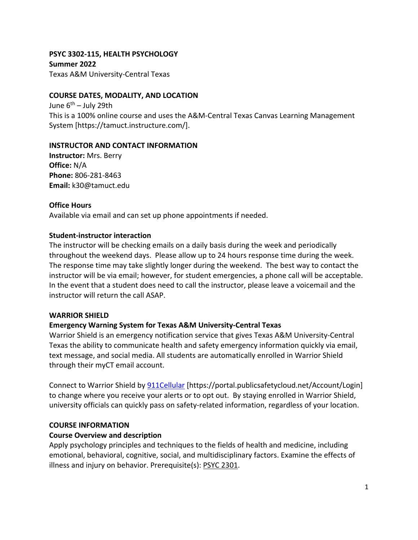# **PSYC 3302-115, HEALTH PSYCHOLOGY Summer 2022**

Texas A&M University-Central Texas

### **COURSE DATES, MODALITY, AND LOCATION**

June  $6^{th}$  – July 29th This is a 100% online course and uses the A&M-Central Texas Canvas Learning Management System [https://tamuct.instructure.com/].

### **INSTRUCTOR AND CONTACT INFORMATION**

**Instructor:** Mrs. Berry **Office:** N/A **Phone:** 806-281-8463 **Email:** k30@tamuct.edu

### **Office Hours**

Available via email and can set up phone appointments if needed.

### **Student-instructor interaction**

The instructor will be checking emails on a daily basis during the week and periodically throughout the weekend days. Please allow up to 24 hours response time during the week. The response time may take slightly longer during the weekend. The best way to contact the instructor will be via email; however, for student emergencies, a phone call will be acceptable. In the event that a student does need to call the instructor, please leave a voicemail and the instructor will return the call ASAP.

### **WARRIOR SHIELD**

# **Emergency Warning System for Texas A&M University-Central Texas**

Warrior Shield is an emergency notification service that gives Texas A&M University-Central Texas the ability to communicate health and safety emergency information quickly via email, text message, and social media. All students are automatically enrolled in Warrior Shield through their myCT email account.

Connect to Warrior Shield by [911Cellular](https://portal.publicsafetycloud.net/Texas-AM-Central/alert-management) [https://portal.publicsafetycloud.net/Account/Login] to change where you receive your alerts or to opt out. By staying enrolled in Warrior Shield, university officials can quickly pass on safety-related information, regardless of your location.

# **COURSE INFORMATION**

### **Course Overview and description**

Apply psychology principles and techniques to the fields of health and medicine, including emotional, behavioral, cognitive, social, and multidisciplinary factors. Examine the effects of illness and injury on behavior. Prerequisite(s): PSYC [2301.](http://catalog.tamuct.edu/search/?P=PSYC%202301)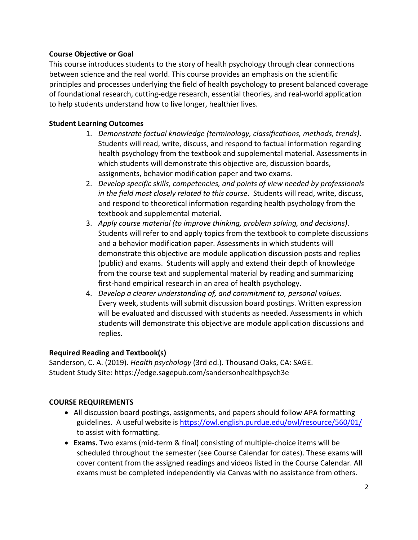## **Course Objective or Goal**

This course introduces students to the story of health psychology through clear connections between science and the real world. This course provides an emphasis on the scientific principles and processes underlying the field of health psychology to present balanced coverage of foundational research, cutting-edge research, essential theories, and real-world application to help students understand how to live longer, healthier lives.

# **Student Learning Outcomes**

- 1. *Demonstrate factual knowledge (terminology, classifications, methods, trends)*. Students will read, write, discuss, and respond to factual information regarding health psychology from the textbook and supplemental material. Assessments in which students will demonstrate this objective are, discussion boards, assignments, behavior modification paper and two exams.
- 2. *Develop specific skills, competencies, and points of view needed by professionals in the field most closely related to this course*. Students will read, write, discuss, and respond to theoretical information regarding health psychology from the textbook and supplemental material.
- 3. *Apply course material (to improve thinking, problem solving, and decisions)*. Students will refer to and apply topics from the textbook to complete discussions and a behavior modification paper. Assessments in which students will demonstrate this objective are module application discussion posts and replies (public) and exams. Students will apply and extend their depth of knowledge from the course text and supplemental material by reading and summarizing first-hand empirical research in an area of health psychology.
- 4. *Develop a clearer understanding of, and commitment to, personal values*. Every week, students will submit discussion board postings. Written expression will be evaluated and discussed with students as needed. Assessments in which students will demonstrate this objective are module application discussions and replies.

# **Required Reading and Textbook(s)**

Sanderson, C. A. (2019). *Health psychology* (3rd ed.). Thousand Oaks, CA: SAGE. Student Study Site: https://edge.sagepub.com/sandersonhealthpsych3e

# **COURSE REQUIREMENTS**

- All discussion board postings, assignments, and papers should follow APA formatting guidelines. A useful website is<https://owl.english.purdue.edu/owl/resource/560/01/> to assist with formatting.
- **Exams.** Two exams (mid-term & final) consisting of multiple-choice items will be scheduled throughout the semester (see Course Calendar for dates). These exams will cover content from the assigned readings and videos listed in the Course Calendar. All exams must be completed independently via Canvas with no assistance from others.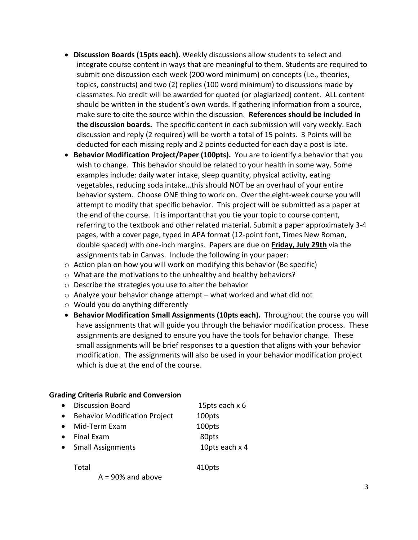- **Discussion Boards (15pts each).** Weekly discussions allow students to select and integrate course content in ways that are meaningful to them. Students are required to submit one discussion each week (200 word minimum) on concepts (i.e., theories, topics, constructs) and two (2) replies (100 word minimum) to discussions made by classmates. No credit will be awarded for quoted (or plagiarized) content. ALL content should be written in the student's own words. If gathering information from a source, make sure to cite the source within the discussion. **References should be included in the discussion boards.** The specific content in each submission will vary weekly. Each discussion and reply (2 required) will be worth a total of 15 points. 3 Points will be deducted for each missing reply and 2 points deducted for each day a post is late.
- **Behavior Modification Project/Paper (100pts).** You are to identify a behavior that you wish to change. This behavior should be related to your health in some way. Some examples include: daily water intake, sleep quantity, physical activity, eating vegetables, reducing soda intake…this should NOT be an overhaul of your entire behavior system. Choose ONE thing to work on. Over the eight-week course you will attempt to modify that specific behavior. This project will be submitted as a paper at the end of the course. It is important that you tie your topic to course content, referring to the textbook and other related material. Submit a paper approximately 3-4 pages, with a cover page, typed in APA format (12-point font, Times New Roman, double spaced) with one-inch margins. Papers are due on **Friday, July 29th** via the assignments tab in Canvas. Include the following in your paper:
- o Action plan on how you will work on modifying this behavior (Be specific)
- o What are the motivations to the unhealthy and healthy behaviors?
- o Describe the strategies you use to alter the behavior
- $\circ$  Analyze your behavior change attempt what worked and what did not
- $\circ$  Would you do anything differently
- **Behavior Modification Small Assignments (10pts each).** Throughout the course you will have assignments that will guide you through the behavior modification process. These assignments are designed to ensure you have the tools for behavior change. These small assignments will be brief responses to a question that aligns with your behavior modification. The assignments will also be used in your behavior modification project which is due at the end of the course.

#### **Grading Criteria Rubric and Conversion**

|           | • Discussion Board                   | 15pts each x 6 |
|-----------|--------------------------------------|----------------|
| $\bullet$ | <b>Behavior Modification Project</b> | 100pts         |
|           | • Mid-Term Exam                      | 100pts         |
|           | $\bullet$ Final Exam                 | 80pts          |
|           | • Small Assignments                  | 10pts each x 4 |
|           |                                      |                |

Total 410pts

 $A = 90\%$  and above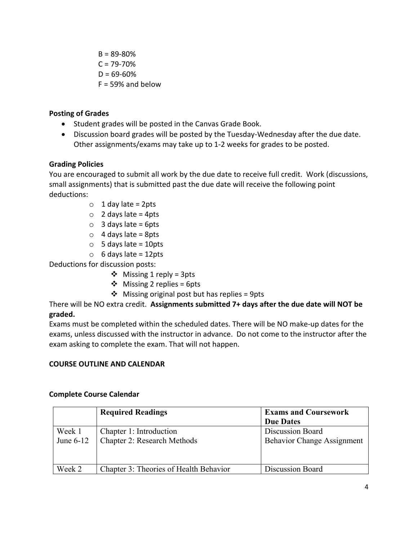$B = 89 - 80%$  $C = 79 - 70%$  $D = 69 - 60%$  $F = 59\%$  and below

### **Posting of Grades**

- Student grades will be posted in the Canvas Grade Book.
- Discussion board grades will be posted by the Tuesday-Wednesday after the due date. Other assignments/exams may take up to 1-2 weeks for grades to be posted.

### **Grading Policies**

You are encouraged to submit all work by the due date to receive full credit. Work (discussions, small assignments) that is submitted past the due date will receive the following point deductions:

- $\circ$  1 day late = 2pts
- $\circ$  2 days late = 4pts
- $\circ$  3 days late = 6pts
- $\circ$  4 days late = 8pts
- $\circ$  5 days late = 10pts
- $\circ$  6 days late = 12pts

Deductions for discussion posts:

- $\div$  Missing 1 reply = 3pts
- $\div$  Missing 2 replies = 6pts
- $\triangleleft$  Missing original post but has replies = 9pts

There will be NO extra credit. **Assignments submitted 7+ days after the due date will NOT be graded.** 

Exams must be completed within the scheduled dates. There will be NO make-up dates for the exams, unless discussed with the instructor in advance. Do not come to the instructor after the exam asking to complete the exam. That will not happen.

### **COURSE OUTLINE AND CALENDAR**

|             | <b>Required Readings</b>               | <b>Exams and Coursework</b>       |
|-------------|----------------------------------------|-----------------------------------|
|             |                                        | <b>Due Dates</b>                  |
| Week 1      | Chapter 1: Introduction                | Discussion Board                  |
| June $6-12$ | Chapter 2: Research Methods            | <b>Behavior Change Assignment</b> |
| Week 2      | Chapter 3: Theories of Health Behavior | Discussion Board                  |

### **Complete Course Calendar**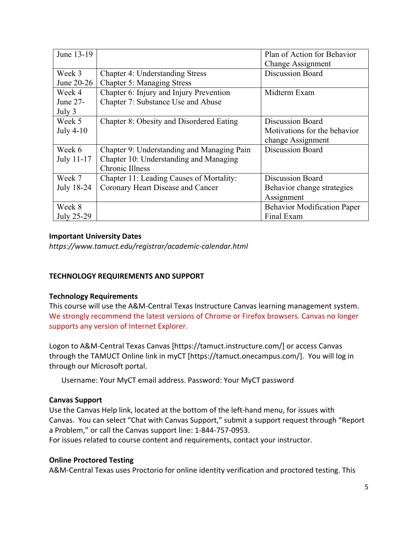| June 13-19 |                                            | Plan of Action for Behavior        |
|------------|--------------------------------------------|------------------------------------|
|            |                                            | Change Assignment                  |
| Week 3     | <b>Chapter 4: Understanding Stress</b>     | <b>Discussion Board</b>            |
| June 20-26 | <b>Chapter 5: Managing Stress</b>          |                                    |
| Week 4     | Chapter 6: Injury and Injury Prevention    | Midterm Exam                       |
| June 27-   | Chapter 7: Substance Use and Abuse         |                                    |
| July 3     |                                            |                                    |
| Week 5     | Chapter 8: Obesity and Disordered Eating   | <b>Discussion Board</b>            |
| July 4-10  |                                            | Motivations for the behavior       |
|            |                                            | change Assignment                  |
| Week 6     | Chapter 9: Understanding and Managing Pain | Discussion Board                   |
| July 11-17 | Chapter 10: Understanding and Managing     |                                    |
|            | <b>Chronic Illness</b>                     |                                    |
| Week 7     | Chapter 11: Leading Causes of Mortality:   | <b>Discussion Board</b>            |
| July 18-24 | Coronary Heart Disease and Cancer          | Behavior change strategies         |
|            |                                            | Assignment                         |
| Week 8     |                                            | <b>Behavior Modification Paper</b> |
| July 25-29 |                                            | Final Exam                         |

### **Important University Dates**

*https://www.tamuct.edu/registrar/academic-calendar.html*

# **TECHNOLOGY REQUIREMENTS AND SUPPORT**

### **Technology Requirements**

This course will use the A&M-Central Texas Instructure Canvas learning management system. We strongly recommend the latest versions of Chrome or Firefox browsers. Canvas no longer supports any version of Internet Explorer.

Logon to A&M-Central Texas Canvas [https://tamuct.instructure.com/] or access Canvas through the TAMUCT Online link in myCT [https://tamuct.onecampus.com/]. You will log in through our Microsoft portal.

Username: Your MyCT email address. Password: Your MyCT password

### **Canvas Support**

Use the Canvas Help link, located at the bottom of the left-hand menu, for issues with Canvas. You can select "Chat with Canvas Support," submit a support request through "Report a Problem," or call the Canvas support line: 1-844-757-0953.

For issues related to course content and requirements, contact your instructor.

### **Online Proctored Testing**

A&M-Central Texas uses Proctorio for online identity verification and proctored testing. This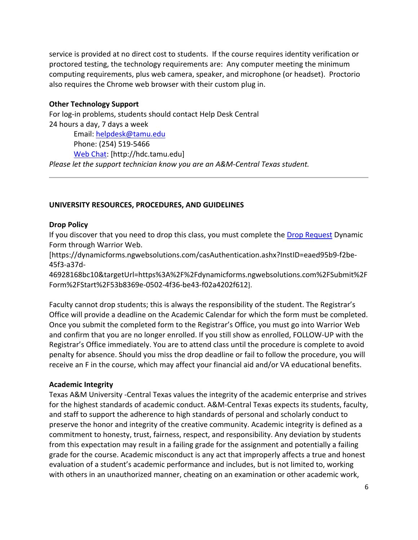service is provided at no direct cost to students. If the course requires identity verification or proctored testing, the technology requirements are: Any computer meeting the minimum computing requirements, plus web camera, speaker, and microphone (or headset). Proctorio also requires the Chrome web browser with their custom plug in.

#### **Other Technology Support**

For log-in problems, students should contact Help Desk Central 24 hours a day, 7 days a week Email: [helpdesk@tamu.edu](mailto:helpdesk@tamu.edu) Phone: (254) 519-5466 [Web Chat:](http://hdc.tamu.edu/) [http://hdc.tamu.edu] *Please let the support technician know you are an A&M-Central Texas student.*

### **UNIVERSITY RESOURCES, PROCEDURES, AND GUIDELINES**

#### **Drop Policy**

If you discover that you need to drop this class, you must complete the [Drop Request](https://dynamicforms.ngwebsolutions.com/casAuthentication.ashx?InstID=eaed95b9-f2be-45f3-a37d-46928168bc10&targetUrl=https%3A%2F%2Fdynamicforms.ngwebsolutions.com%2FSubmit%2FForm%2FStart%2F53b8369e-0502-4f36-be43-f02a4202f612) Dynamic Form through Warrior Web.

[https://dynamicforms.ngwebsolutions.com/casAuthentication.ashx?InstID=eaed95b9-f2be-45f3-a37d-

46928168bc10&targetUrl=https%3A%2F%2Fdynamicforms.ngwebsolutions.com%2FSubmit%2F Form%2FStart%2F53b8369e-0502-4f36-be43-f02a4202f612].

Faculty cannot drop students; this is always the responsibility of the student. The Registrar's Office will provide a deadline on the Academic Calendar for which the form must be completed. Once you submit the completed form to the Registrar's Office, you must go into Warrior Web and confirm that you are no longer enrolled. If you still show as enrolled, FOLLOW-UP with the Registrar's Office immediately. You are to attend class until the procedure is complete to avoid penalty for absence. Should you miss the drop deadline or fail to follow the procedure, you will receive an F in the course, which may affect your financial aid and/or VA educational benefits.

#### **Academic Integrity**

Texas A&M University -Central Texas values the integrity of the academic enterprise and strives for the highest standards of academic conduct. A&M-Central Texas expects its students, faculty, and staff to support the adherence to high standards of personal and scholarly conduct to preserve the honor and integrity of the creative community. Academic integrity is defined as a commitment to honesty, trust, fairness, respect, and responsibility. Any deviation by students from this expectation may result in a failing grade for the assignment and potentially a failing grade for the course. Academic misconduct is any act that improperly affects a true and honest evaluation of a student's academic performance and includes, but is not limited to, working with others in an unauthorized manner, cheating on an examination or other academic work,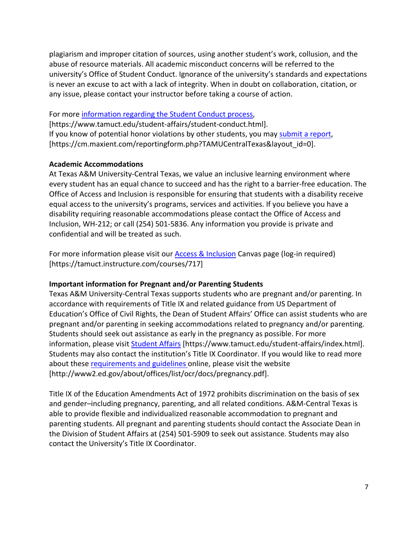plagiarism and improper citation of sources, using another student's work, collusion, and the abuse of resource materials. All academic misconduct concerns will be referred to the university's Office of Student Conduct. Ignorance of the university's standards and expectations is never an excuse to act with a lack of integrity. When in doubt on collaboration, citation, or any issue, please contact your instructor before taking a course of action.

## For more [information regarding the Student Conduct process,](https://www.tamuct.edu/student-affairs/student-conduct.html)

[https://www.tamuct.edu/student-affairs/student-conduct.html]. If you know of potential honor violations by other students, you may [submit a report,](https://cm.maxient.com/reportingform.php?TAMUCentralTexas&layout_id=0) [https://cm.maxient.com/reportingform.php?TAMUCentralTexas&layout\_id=0].

### **Academic Accommodations**

At Texas A&M University-Central Texas, we value an inclusive learning environment where every student has an equal chance to succeed and has the right to a barrier-free education. The Office of Access and Inclusion is responsible for ensuring that students with a disability receive equal access to the university's programs, services and activities. If you believe you have a disability requiring reasonable accommodations please contact the Office of Access and Inclusion, WH-212; or call (254) 501-5836. Any information you provide is private and confidential and will be treated as such.

For more information please visit our **Access & Inclusion Canvas page (log-in required)** [https://tamuct.instructure.com/courses/717]

# **Important information for Pregnant and/or Parenting Students**

Texas A&M University-Central Texas supports students who are pregnant and/or parenting. In accordance with requirements of Title IX and related guidance from US Department of Education's Office of Civil Rights, the Dean of Student Affairs' Office can assist students who are pregnant and/or parenting in seeking accommodations related to pregnancy and/or parenting. Students should seek out assistance as early in the pregnancy as possible. For more information, please visit **Student Affairs [https://www.tamuct.edu/student-affairs/index.html].** Students may also contact the institution's Title IX Coordinator. If you would like to read more about these [requirements and guidelines](http://www2.ed.gov/about/offices/list/ocr/docs/pregnancy.pdf) online, please visit the website [http://www2.ed.gov/about/offices/list/ocr/docs/pregnancy.pdf].

Title IX of the Education Amendments Act of 1972 prohibits discrimination on the basis of sex and gender–including pregnancy, parenting, and all related conditions. A&M-Central Texas is able to provide flexible and individualized reasonable accommodation to pregnant and parenting students. All pregnant and parenting students should contact the Associate Dean in the Division of Student Affairs at (254) 501-5909 to seek out assistance. Students may also contact the University's Title IX Coordinator.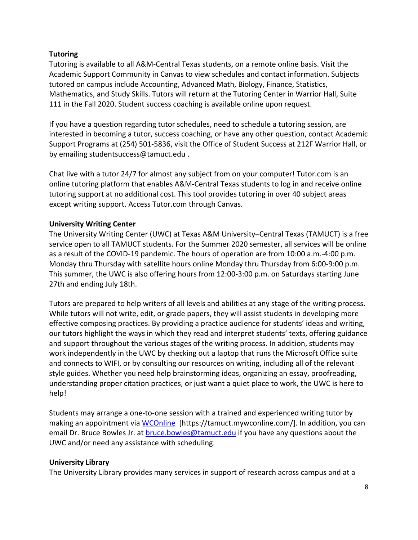## **Tutoring**

Tutoring is available to all A&M-Central Texas students, on a remote online basis. Visit the Academic Support Community in Canvas to view schedules and contact information. Subjects tutored on campus include Accounting, Advanced Math, Biology, Finance, Statistics, Mathematics, and Study Skills. Tutors will return at the Tutoring Center in Warrior Hall, Suite 111 in the Fall 2020. Student success coaching is available online upon request.

If you have a question regarding tutor schedules, need to schedule a tutoring session, are interested in becoming a tutor, success coaching, or have any other question, contact Academic Support Programs at (254) 501-5836, visit the Office of Student Success at 212F Warrior Hall, or by emailing studentsuccess@tamuct.edu .

Chat live with a tutor 24/7 for almost any subject from on your computer! Tutor.com is an online tutoring platform that enables A&M-Central Texas students to log in and receive online tutoring support at no additional cost. This tool provides tutoring in over 40 subject areas except writing support. Access Tutor.com through Canvas.

### **University Writing Center**

The University Writing Center (UWC) at Texas A&M University–Central Texas (TAMUCT) is a free service open to all TAMUCT students. For the Summer 2020 semester, all services will be online as a result of the COVID-19 pandemic. The hours of operation are from 10:00 a.m.-4:00 p.m. Monday thru Thursday with satellite hours online Monday thru Thursday from 6:00-9:00 p.m. This summer, the UWC is also offering hours from 12:00-3:00 p.m. on Saturdays starting June 27th and ending July 18th.

Tutors are prepared to help writers of all levels and abilities at any stage of the writing process. While tutors will not write, edit, or grade papers, they will assist students in developing more effective composing practices. By providing a practice audience for students' ideas and writing, our tutors highlight the ways in which they read and interpret students' texts, offering guidance and support throughout the various stages of the writing process. In addition, students may work independently in the UWC by checking out a laptop that runs the Microsoft Office suite and connects to WIFI, or by consulting our resources on writing, including all of the relevant style guides. Whether you need help brainstorming ideas, organizing an essay, proofreading, understanding proper citation practices, or just want a quiet place to work, the UWC is here to help!

Students may arrange a one-to-one session with a trained and experienced writing tutor by making an appointment via [WCOnline](https://tamuct.mywconline.com/) [https://tamuct.mywconline.com/]. In addition, you can email Dr. Bruce Bowles Jr. at [bruce.bowles@tamuct.edu](mailto:bruce.bowles@tamuct.edu) if you have any questions about the UWC and/or need any assistance with scheduling.

### **University Library**

The University Library provides many services in support of research across campus and at a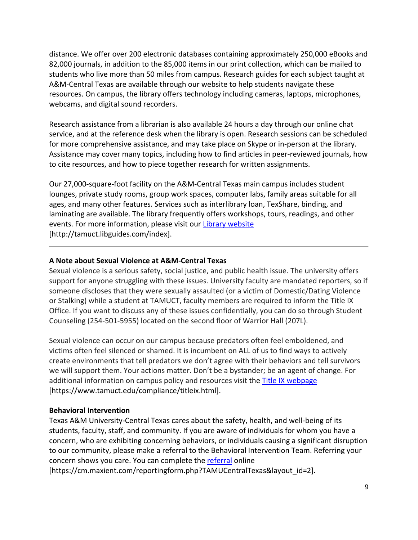distance. We offer over 200 electronic databases containing approximately 250,000 eBooks and 82,000 journals, in addition to the 85,000 items in our print collection, which can be mailed to students who live more than 50 miles from campus. Research guides for each subject taught at A&M-Central Texas are available through our website to help students navigate these resources. On campus, the library offers technology including cameras, laptops, microphones, webcams, and digital sound recorders.

Research assistance from a librarian is also available 24 hours a day through our online chat service, and at the reference desk when the library is open. Research sessions can be scheduled for more comprehensive assistance, and may take place on Skype or in-person at the library. Assistance may cover many topics, including how to find articles in peer-reviewed journals, how to cite resources, and how to piece together research for written assignments.

Our 27,000-square-foot facility on the A&M-Central Texas main campus includes student lounges, private study rooms, group work spaces, computer labs, family areas suitable for all ages, and many other features. Services such as interlibrary loan, TexShare, binding, and laminating are available. The library frequently offers workshops, tours, readings, and other events. For more information, please visit our [Library website](https://tamuct.libguides.com/index) [http://tamuct.libguides.com/index].

### **A Note about Sexual Violence at A&M-Central Texas**

Sexual violence is a serious safety, social justice, and public health issue. The university offers support for anyone struggling with these issues. University faculty are mandated reporters, so if someone discloses that they were sexually assaulted (or a victim of Domestic/Dating Violence or Stalking) while a student at TAMUCT, faculty members are required to inform the Title IX Office. If you want to discuss any of these issues confidentially, you can do so through Student Counseling (254-501-5955) located on the second floor of Warrior Hall (207L).

Sexual violence can occur on our campus because predators often feel emboldened, and victims often feel silenced or shamed. It is incumbent on ALL of us to find ways to actively create environments that tell predators we don't agree with their behaviors and tell survivors we will support them. Your actions matter. Don't be a bystander; be an agent of change. For additional information on campus policy and resources visit the [Title IX webpage](https://www.tamuct.edu/compliance/titleix.html) [\[https://www.tamuct.edu/compliance/titleix.html\]](https://www.tamuct.edu/compliance/titleix.html).

### **Behavioral Intervention**

Texas A&M University-Central Texas cares about the safety, health, and well-being of its students, faculty, staff, and community. If you are aware of individuals for whom you have a concern, who are exhibiting concerning behaviors, or individuals causing a significant disruption to our community, please make a referral to the Behavioral Intervention Team. Referring your concern shows you care. You can complete the [referral](https://cm.maxient.com/reportingform.php?TAMUCentralTexas&layout_id=2) online [https://cm.maxient.com/reportingform.php?TAMUCentralTexas&layout\_id=2].